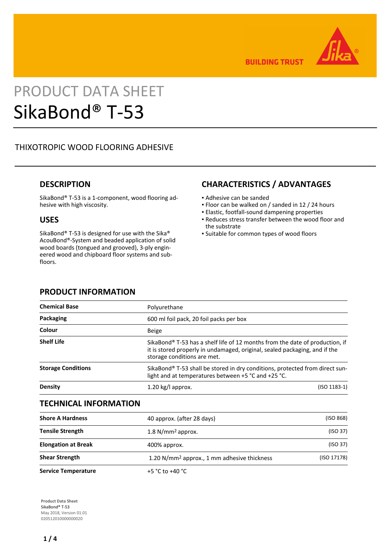

**BUILDING TRUST** 

# PRODUCT DATA SHEET SikaBond® T-53

# THIXOTROPIC WOOD FLOORING ADHESIVE

## **DESCRIPTION**

SikaBond® T-53 is a 1-component, wood flooring adhesive with high viscosity.

## **USES**

SikaBond® T-53 is designed for use with the Sika® AcouBond®-System and beaded application of solid wood boards (tongued and grooved), 3-ply engineered wood and chipboard floor systems and subfloors.

# **CHARACTERISTICS / ADVANTAGES**

- Adhesive can be sanded
- Floor can be walked on / sanded in 12 / 24 hours
- Elastic, footfall-sound dampening properties
- Reduces stress transfer between the wood floor and the substrate
- Suitable for common types of wood floors

| Polyurethane                                                                                                                                                                              |                |
|-------------------------------------------------------------------------------------------------------------------------------------------------------------------------------------------|----------------|
| 600 ml foil pack, 20 foil packs per box                                                                                                                                                   |                |
| <b>Beige</b>                                                                                                                                                                              |                |
| SikaBond® T-53 has a shelf life of 12 months from the date of production, if<br>it is stored properly in undamaged, original, sealed packaging, and if the<br>storage conditions are met. |                |
| SikaBond® T-53 shall be stored in dry conditions, protected from direct sun-<br>light and at temperatures between +5 °C and +25 °C.                                                       |                |
| 1.20 kg/l approx.                                                                                                                                                                         | $(ISO 1183-1)$ |
|                                                                                                                                                                                           |                |

# **PRODUCT INFORMATION**

## **TECHNICAL INFORMATION**

| <b>Shore A Hardness</b>    | 40 approx. (after 28 days)                              | (ISO 868)   |
|----------------------------|---------------------------------------------------------|-------------|
| <b>Tensile Strength</b>    | $1.8$ N/mm <sup>2</sup> approx.                         | (ISO 37)    |
| <b>Elongation at Break</b> | 400% approx.                                            | (ISO 37)    |
| <b>Shear Strength</b>      | 1.20 N/mm <sup>2</sup> approx., 1 mm adhesive thickness | (ISO 17178) |
| <b>Service Temperature</b> | +5 $^{\circ}$ C to +40 $^{\circ}$ C                     |             |

**Product Data Sheet** SikaBond® T-53 May 2018, Version 01.01 020512010000000020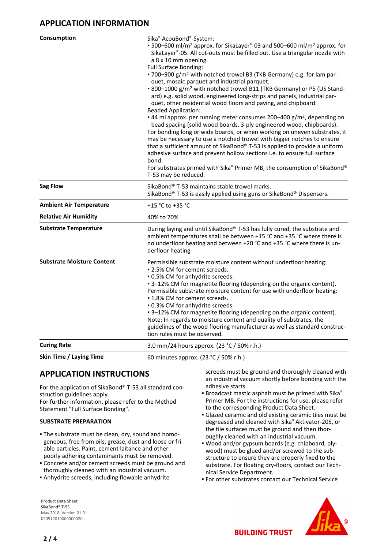## **APPLICATION INFORMATION**

| Consumption                       | Sika <sup>®</sup> AcouBond <sup>®</sup> -System:<br>■ 500-600 ml/m <sup>2</sup> approx. for SikaLayer®-03 and 500-600 ml/m <sup>2</sup> approx. for<br>SikaLayer®-05. All cut-outs must be filled out. Use a triangular nozzle with<br>a 8 x 10 mm opening.<br><b>Full Surface Bonding:</b><br>- 700-900 g/m <sup>2</sup> with notched trowel B3 (TKB Germany) e.g. for lam par-<br>quet, mosaic parquet and industrial parquet.<br>■ 800-1000 g/m <sup>2</sup> with notched trowel B11 (TKB Germany) or P5 (US Stand-<br>ard) e.g. solid wood, engineered long-strips and panels, industrial par-<br>quet, other residential wood floors and paving, and chipboard.<br><b>Beaded Application:</b><br>• 44 ml approx. per running meter consumes 200-400 g/m <sup>2</sup> , depending on<br>bead spacing (solid wood boards, 3-ply engineered wood, chipboards).<br>For bonding long or wide boards, or when working on uneven substrates, it<br>may be necessary to use a notched trowel with bigger notches to ensure<br>that a sufficient amount of SikaBond® T-53 is applied to provide a uniform<br>adhesive surface and prevent hollow sections i.e. to ensure full surface<br>bond.<br>For substrates primed with Sika® Primer MB, the consumption of SikaBond®<br>T-53 may be reduced. |
|-----------------------------------|------------------------------------------------------------------------------------------------------------------------------------------------------------------------------------------------------------------------------------------------------------------------------------------------------------------------------------------------------------------------------------------------------------------------------------------------------------------------------------------------------------------------------------------------------------------------------------------------------------------------------------------------------------------------------------------------------------------------------------------------------------------------------------------------------------------------------------------------------------------------------------------------------------------------------------------------------------------------------------------------------------------------------------------------------------------------------------------------------------------------------------------------------------------------------------------------------------------------------------------------------------------------------------------------|
| <b>Sag Flow</b>                   | SikaBond® T-53 maintains stable trowel marks.<br>SikaBond® T-53 is easily applied using guns or SikaBond® Dispensers.                                                                                                                                                                                                                                                                                                                                                                                                                                                                                                                                                                                                                                                                                                                                                                                                                                                                                                                                                                                                                                                                                                                                                                          |
| <b>Ambient Air Temperature</b>    | +15 °C to +35 °C                                                                                                                                                                                                                                                                                                                                                                                                                                                                                                                                                                                                                                                                                                                                                                                                                                                                                                                                                                                                                                                                                                                                                                                                                                                                               |
| <b>Relative Air Humidity</b>      | 40% to 70%                                                                                                                                                                                                                                                                                                                                                                                                                                                                                                                                                                                                                                                                                                                                                                                                                                                                                                                                                                                                                                                                                                                                                                                                                                                                                     |
| <b>Substrate Temperature</b>      | During laying and until SikaBond® T-53 has fully cured, the substrate and<br>ambient temperatures shall be between +15 °C and +35 °C where there is<br>no underfloor heating and between +20 °C and +35 °C where there is un-<br>derfloor heating                                                                                                                                                                                                                                                                                                                                                                                                                                                                                                                                                                                                                                                                                                                                                                                                                                                                                                                                                                                                                                              |
| <b>Substrate Moisture Content</b> | Permissible substrate moisture content without underfloor heating:<br>• 2.5% CM for cement screeds.<br>.0.5% CM for anhydrite screeds.<br>-3-12% CM for magnetite flooring (depending on the organic content).<br>Permissible substrate moisture content for use with underfloor heating:<br>- 1.8% CM for cement screeds.<br>.0.3% CM for anhydrite screeds.<br>• 3-12% CM for magnetite flooring (depending on the organic content).<br>Note: In regards to moisture content and quality of substrates, the<br>guidelines of the wood flooring manufacturer as well as standard construc-<br>tion rules must be observed.                                                                                                                                                                                                                                                                                                                                                                                                                                                                                                                                                                                                                                                                    |
| <b>Curing Rate</b>                | 3.0 mm/24 hours approx. (23 °C / 50% r.h.)                                                                                                                                                                                                                                                                                                                                                                                                                                                                                                                                                                                                                                                                                                                                                                                                                                                                                                                                                                                                                                                                                                                                                                                                                                                     |
| Skin Time / Laying Time           | 60 minutes approx. (23 °C / 50% r.h.)                                                                                                                                                                                                                                                                                                                                                                                                                                                                                                                                                                                                                                                                                                                                                                                                                                                                                                                                                                                                                                                                                                                                                                                                                                                          |

## **APPLICATION INSTRUCTIONS**

For the application of SikaBond® T-53 all standard construction guidelines apply.

For further information, please refer to the Method Statement "Full Surface Bonding".

#### **SUBSTRATE PREPARATION**

- The substrate must be clean, dry, sound and homo-▪ geneous, free from oils, grease, dust and loose or friable particles. Paint, cement laitance and other poorly adhering contaminants must be removed.
- Concrete and/or cement screeds must be ground and thoroughly cleaned with an industrial vacuum.
- Anhydrite screeds, including flowable anhydrite

screeds must be ground and thoroughly cleaned with an industrial vacuum shortly before bonding with the adhesive starts.

- **Broadcast mastic asphalt must be primed with Sika®** Primer MB. For the instructions for use, please refer to the corresponding Product Data Sheet.
- **Glazed ceramic and old existing ceramic tiles must be** degreased and cleaned with Sika® Aktivator-205, or the tile surfaces must be ground and then thoroughly cleaned with an industrial vacuum.
- Wood and/or gypsum boards (e.g. chipboard, ply-▪ wood) must be glued and/or screwed to the substructure to ensure they are properly fixed to the substrate. For floating dry-floors, contact our Technical Service Department.
- **For other substrates contact our Technical Service**

**Product Data Sheet** SikaBond® T-53 May 2018, Version 01.01 020512010000000020

**BUILDING TRUST**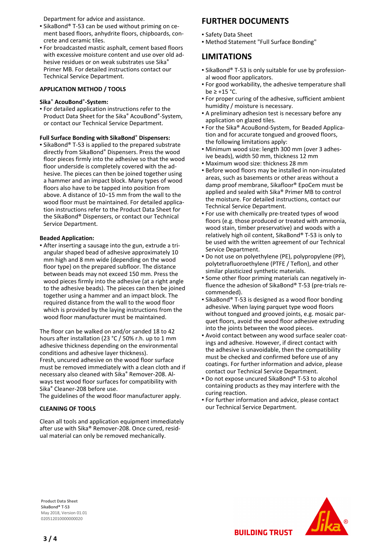Department for advice and assistance.

- SikaBond® T-53 can be used without priming on ce-▪ ment based floors, anhydrite floors, chipboards, concrete and ceramic tiles.
- For broadcasted mastic asphalt, cement based floors with excessive moisture content and use over old adhesive residues or on weak substrates use Sika® Primer MB. For detailed instructions contact our Technical Service Department.

#### **APPLICATION METHOD / TOOLS**

#### **Sika**® **AcouBond**®**-System:**

For detailed application instructions refer to the ▪ Product Data Sheet for the Sika® AcouBond®-System, or contact our Technical Service Department.

#### **Full Surface Bonding with SikaBond**® **Dispensers:**

**SikaBond® T-53 is applied to the prepared substrate** directly from SikaBond® Dispensers. Press the wood floor pieces firmly into the adhesive so that the wood floor underside is completely covered with the adhesive. The pieces can then be joined together using a hammer and an impact block. Many types of wood floors also have to be tapped into position from above. A distance of 10−15 mm from the wall to the wood floor must be maintained. For detailed application instructions refer to the Product Data Sheet for the SikaBond® Dispensers, or contact our Technical Service Department.

#### **Beaded Application:**

After inserting a sausage into the gun, extrude a tri-▪ angular shaped bead of adhesive approximately 10 mm high and 8 mm wide (depending on the wood floor type) on the prepared subfloor. The distance between beads may not exceed 150 mm. Press the wood pieces firmly into the adhesive (at a right angle to the adhesive beads). The pieces can then be joined together using a hammer and an impact block. The required distance from the wall to the wood floor which is provided by the laying instructions from the wood floor manufacturer must be maintained.

The floor can be walked on and/or sanded 18 to 42 hours after installation (23 °C / 50% r.h. up to 1 mm adhesive thickness depending on the environmental conditions and adhesive layer thickness). Fresh, uncured adhesive on the wood floor surface must be removed immediately with a clean cloth and if necessary also cleaned with Sika® Remover-208. Always test wood floor surfaces for compatibility with Sika® Cleaner-208 before use.

The guidelines of the wood floor manufacturer apply.

#### **CLEANING OF TOOLS**

Clean all tools and application equipment immediately after use with Sika® Remover-208. Once cured, residual material can only be removed mechanically.

## **FURTHER DOCUMENTS**

- Safety Data Sheet
- Method Statement "Full Surface Bonding"

### **LIMITATIONS**

- SikaBond® T-53 is only suitable for use by profession-▪ al wood floor applicators.
- For good workability, the adhesive temperature shall be  $\ge$  +15 °C.
- For proper curing of the adhesive, sufficient ambient humidity / moisture is necessary.
- A preliminary adhesion test is necessary before any application on glazed tiles.
- For the Sika® AcouBond-System, for Beaded Applica-▪ tion and for accurate tongued and grooved floors, the following limitations apply:
- Minimum wood size: length 300 mm (over 3 adhes-▪ ive beads), width 50 mm, thickness 12 mm
- Maximum wood size: thickness 28 mm
- Before wood floors may be installed in non-insulated areas, such as basements or other areas without a damp proof membrane, Sikafloor® EpoCem must be applied and sealed with Sika® Primer MB to control the moisture. For detailed instructions, contact our Technical Service Department.
- For use with chemically pre-treated types of wood floors (e.g. those produced or treated with ammonia, wood stain, timber preservative) and woods with a relatively high oil content, SikaBond® T-53 is only to be used with the written agreement of our Technical Service Department.
- Do not use on polyethylene (PE), polypropylene (PP), polytetrafluoroethylene (PTFE / Teflon), and other similar plasticized synthetic materials.
- Some other floor priming materials can negatively in-▪ fluence the adhesion of SikaBond® T-53 (pre-trials recommended).
- **E** SikaBond® T-53 is designed as a wood floor bonding adhesive. When laying parquet type wood floors without tongued and grooved joints, e.g. mosaic parquet floors, avoid the wood floor adhesive extruding into the joints between the wood pieces.
- Avoid contact between any wood surface sealer coat-▪ ings and adhesive. However, if direct contact with the adhesive is unavoidable, then the compatibility must be checked and confirmed before use of any coatings. For further information and advice, please contact our Technical Service Department.
- Do not expose uncured SikaBond® T-53 to alcohol containing products as they may interfere with the curing reaction.
- **For further information and advice, please contact** our Technical Service Department.

**Product Data Sheet** SikaBond® T-53 May 2018, Version 01.01 020512010000000020



**BUILDING TRUST**